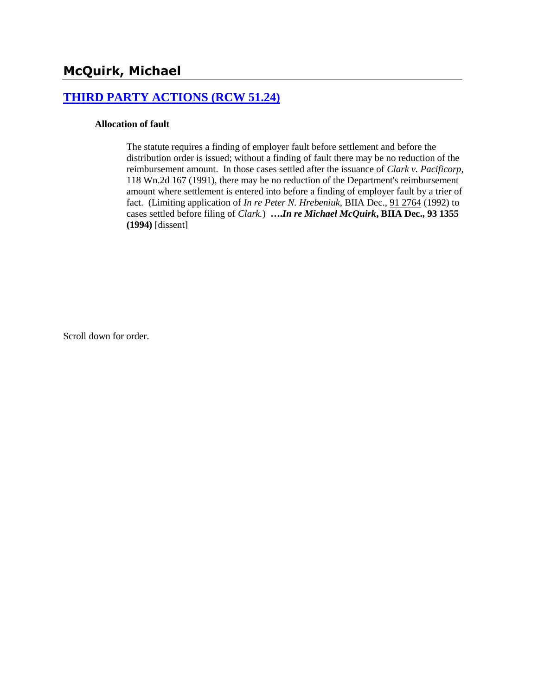## **[THIRD PARTY ACTIONS \(RCW 51.24\)](http://www.biia.wa.gov/SDSubjectIndex.html#THIRD_PARTY_ACTIONS)**

#### **Allocation of fault**

The statute requires a finding of employer fault before settlement and before the distribution order is issued; without a finding of fault there may be no reduction of the reimbursement amount. In those cases settled after the issuance of *Clark v. Pacificorp,* 118 Wn.2d 167 (1991), there may be no reduction of the Department's reimbursement amount where settlement is entered into before a finding of employer fault by a trier of fact. (Limiting application of *In re Peter N. Hrebeniuk*, BIIA Dec., [91 2764](http://www.biia.wa.gov/significantdecisions/912764.htm) (1992) to cases settled before filing of *Clark.*) **….***In re Michael McQuirk***, BIIA Dec., 93 1355 (1994)** [dissent]

Scroll down for order.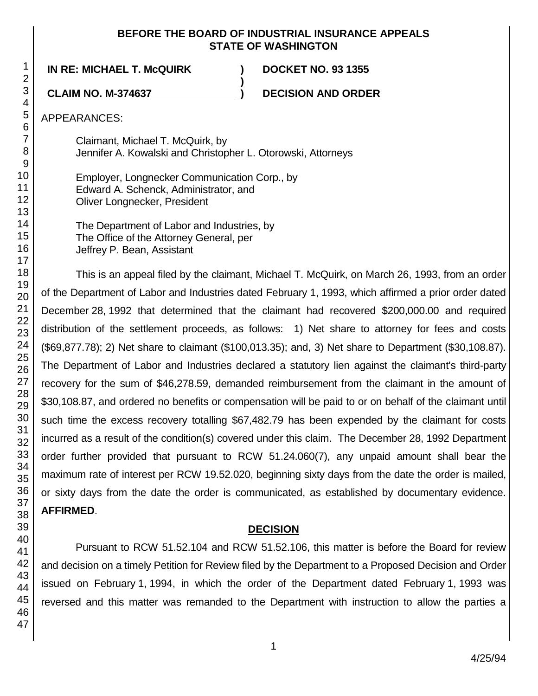### **BEFORE THE BOARD OF INDUSTRIAL INSURANCE APPEALS STATE OF WASHINGTON**

**)**

**IN RE: MICHAEL T. McQUIRK ) DOCKET NO. 93 1355**

**CLAIM NO. M-374637 ) DECISION AND ORDER**

APPEARANCES:

Claimant, Michael T. McQuirk, by Jennifer A. Kowalski and Christopher L. Otorowski, Attorneys

Employer, Longnecker Communication Corp., by Edward A. Schenck, Administrator, and Oliver Longnecker, President

The Department of Labor and Industries, by The Office of the Attorney General, per Jeffrey P. Bean, Assistant

This is an appeal filed by the claimant, Michael T. McQuirk, on March 26, 1993, from an order of the Department of Labor and Industries dated February 1, 1993, which affirmed a prior order dated December 28, 1992 that determined that the claimant had recovered \$200,000.00 and required distribution of the settlement proceeds, as follows: 1) Net share to attorney for fees and costs (\$69,877.78); 2) Net share to claimant (\$100,013.35); and, 3) Net share to Department (\$30,108.87). The Department of Labor and Industries declared a statutory lien against the claimant's third-party recovery for the sum of \$46,278.59, demanded reimbursement from the claimant in the amount of \$30,108.87, and ordered no benefits or compensation will be paid to or on behalf of the claimant until such time the excess recovery totalling \$67,482.79 has been expended by the claimant for costs incurred as a result of the condition(s) covered under this claim. The December 28, 1992 Department order further provided that pursuant to RCW 51.24.060(7), any unpaid amount shall bear the maximum rate of interest per RCW 19.52.020, beginning sixty days from the date the order is mailed, or sixty days from the date the order is communicated, as established by documentary evidence. **AFFIRMED**.

# **DECISION**

Pursuant to RCW 51.52.104 and RCW 51.52.106, this matter is before the Board for review and decision on a timely Petition for Review filed by the Department to a Proposed Decision and Order issued on February 1, 1994, in which the order of the Department dated February 1, 1993 was reversed and this matter was remanded to the Department with instruction to allow the parties a

1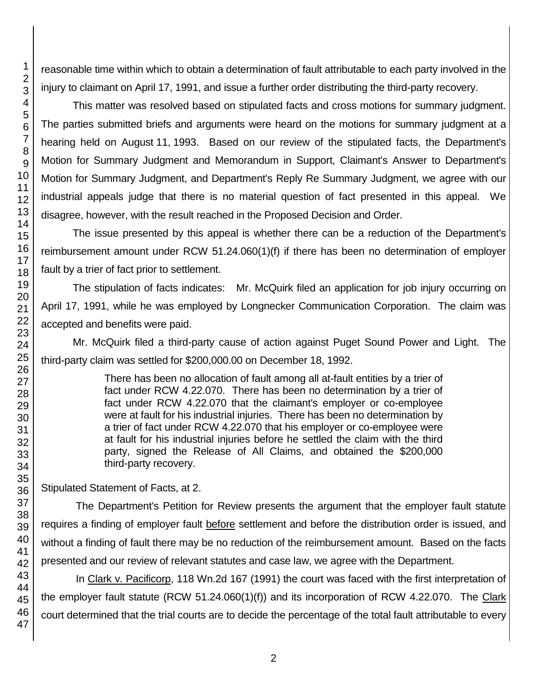Stipulated Statement of Facts, at 2.

The Department's Petition for Review presents the argument that the employer fault statute requires a finding of employer fault before settlement and before the distribution order is issued, and without a finding of fault there may be no reduction of the reimbursement amount. Based on the facts presented and our review of relevant statutes and case law, we agree with the Department.

In Clark v. Pacificorp, 118 Wn.2d 167 (1991) the court was faced with the first interpretation of the employer fault statute (RCW 51.24.060(1)(f)) and its incorporation of RCW 4.22.070. The Clark court determined that the trial courts are to decide the percentage of the total fault attributable to every

47

reasonable time within which to obtain a determination of fault attributable to each party involved in the injury to claimant on April 17, 1991, and issue a further order distributing the third-party recovery.

This matter was resolved based on stipulated facts and cross motions for summary judgment. The parties submitted briefs and arguments were heard on the motions for summary judgment at a hearing held on August 11, 1993. Based on our review of the stipulated facts, the Department's Motion for Summary Judgment and Memorandum in Support, Claimant's Answer to Department's Motion for Summary Judgment, and Department's Reply Re Summary Judgment, we agree with our industrial appeals judge that there is no material question of fact presented in this appeal. We disagree, however, with the result reached in the Proposed Decision and Order.

The issue presented by this appeal is whether there can be a reduction of the Department's reimbursement amount under RCW 51.24.060(1)(f) if there has been no determination of employer fault by a trier of fact prior to settlement.

The stipulation of facts indicates: Mr. McQuirk filed an application for job injury occurring on April 17, 1991, while he was employed by Longnecker Communication Corporation. The claim was accepted and benefits were paid.

Mr. McQuirk filed a third-party cause of action against Puget Sound Power and Light. The third-party claim was settled for \$200,000.00 on December 18, 1992.

> There has been no allocation of fault among all at-fault entities by a trier of fact under RCW 4.22.070. There has been no determination by a trier of fact under RCW 4.22.070 that the claimant's employer or co-employee were at fault for his industrial injuries. There has been no determination by a trier of fact under RCW 4.22.070 that his employer or co-employee were at fault for his industrial injuries before he settled the claim with the third party, signed the Release of All Claims, and obtained the \$200,000 third-party recovery.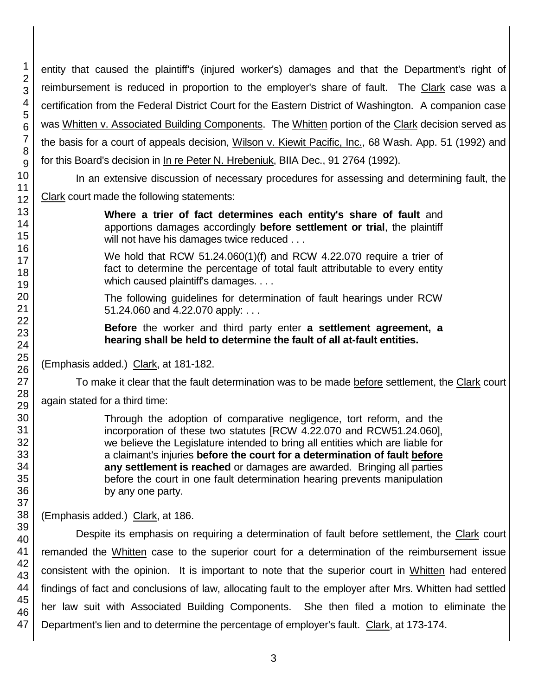entity that caused the plaintiff's (injured worker's) damages and that the Department's right of reimbursement is reduced in proportion to the employer's share of fault. The Clark case was a certification from the Federal District Court for the Eastern District of Washington. A companion case was Whitten v. Associated Building Components. The Whitten portion of the Clark decision served as the basis for a court of appeals decision, Wilson v. Kiewit Pacific, Inc., 68 Wash. App. 51 (1992) and for this Board's decision in In re Peter N. Hrebeniuk, BIIA Dec., 91 2764 (1992).

In an extensive discussion of necessary procedures for assessing and determining fault, the Clark court made the following statements:

> **Where a trier of fact determines each entity's share of fault** and apportions damages accordingly **before settlement or trial**, the plaintiff will not have his damages twice reduced . . .

> We hold that RCW 51.24.060(1)(f) and RCW 4.22.070 require a trier of fact to determine the percentage of total fault attributable to every entity which caused plaintiff's damages. . . .

> The following guidelines for determination of fault hearings under RCW 51.24.060 and 4.22.070 apply: . . .

> **Before** the worker and third party enter **a settlement agreement, a hearing shall be held to determine the fault of all at-fault entities.**

(Emphasis added.) Clark, at 181-182.

To make it clear that the fault determination was to be made before settlement, the Clark court again stated for a third time:

> Through the adoption of comparative negligence, tort reform, and the incorporation of these two statutes [RCW 4.22.070 and RCW51.24.060], we believe the Legislature intended to bring all entities which are liable for a claimant's injuries **before the court for a determination of fault before any settlement is reached** or damages are awarded. Bringing all parties before the court in one fault determination hearing prevents manipulation by any one party.

(Emphasis added.) Clark, at 186.

Despite its emphasis on requiring a determination of fault before settlement, the Clark court remanded the Whitten case to the superior court for a determination of the reimbursement issue consistent with the opinion. It is important to note that the superior court in Whitten had entered findings of fact and conclusions of law, allocating fault to the employer after Mrs. Whitten had settled her law suit with Associated Building Components. She then filed a motion to eliminate the Department's lien and to determine the percentage of employer's fault. Clark, at 173-174.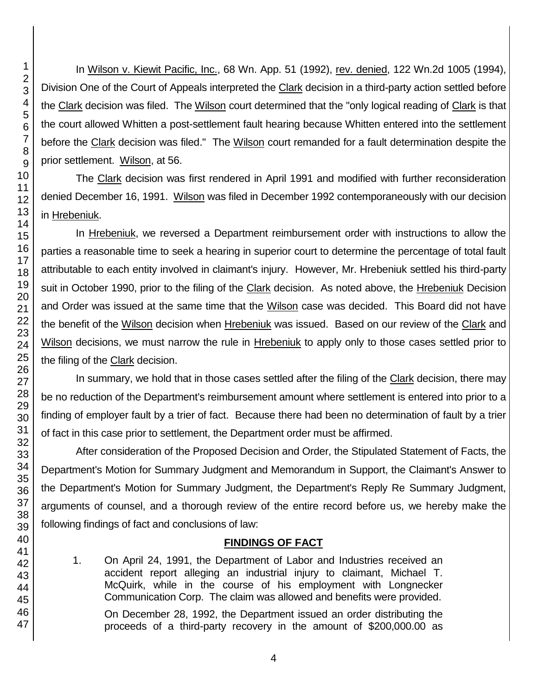In Wilson v. Kiewit Pacific, Inc., 68 Wn. App. 51 (1992), rev. denied, 122 Wn.2d 1005 (1994), Division One of the Court of Appeals interpreted the Clark decision in a third-party action settled before the Clark decision was filed. The Wilson court determined that the "only logical reading of Clark is that the court allowed Whitten a post-settlement fault hearing because Whitten entered into the settlement before the Clark decision was filed." The Wilson court remanded for a fault determination despite the prior settlement. Wilson, at 56.

The Clark decision was first rendered in April 1991 and modified with further reconsideration denied December 16, 1991. Wilson was filed in December 1992 contemporaneously with our decision in Hrebeniuk.

In Hrebeniuk, we reversed a Department reimbursement order with instructions to allow the parties a reasonable time to seek a hearing in superior court to determine the percentage of total fault attributable to each entity involved in claimant's injury. However, Mr. Hrebeniuk settled his third-party suit in October 1990, prior to the filing of the Clark decision. As noted above, the Hrebeniuk Decision and Order was issued at the same time that the Wilson case was decided. This Board did not have the benefit of the Wilson decision when Hrebeniuk was issued. Based on our review of the Clark and Wilson decisions, we must narrow the rule in Hrebeniuk to apply only to those cases settled prior to the filing of the Clark decision.

In summary, we hold that in those cases settled after the filing of the Clark decision, there may be no reduction of the Department's reimbursement amount where settlement is entered into prior to a finding of employer fault by a trier of fact. Because there had been no determination of fault by a trier of fact in this case prior to settlement, the Department order must be affirmed.

After consideration of the Proposed Decision and Order, the Stipulated Statement of Facts, the Department's Motion for Summary Judgment and Memorandum in Support, the Claimant's Answer to the Department's Motion for Summary Judgment, the Department's Reply Re Summary Judgment, arguments of counsel, and a thorough review of the entire record before us, we hereby make the following findings of fact and conclusions of law:

# **FINDINGS OF FACT**

1. On April 24, 1991, the Department of Labor and Industries received an accident report alleging an industrial injury to claimant, Michael T. McQuirk, while in the course of his employment with Longnecker Communication Corp. The claim was allowed and benefits were provided.

On December 28, 1992, the Department issued an order distributing the proceeds of a third-party recovery in the amount of \$200,000.00 as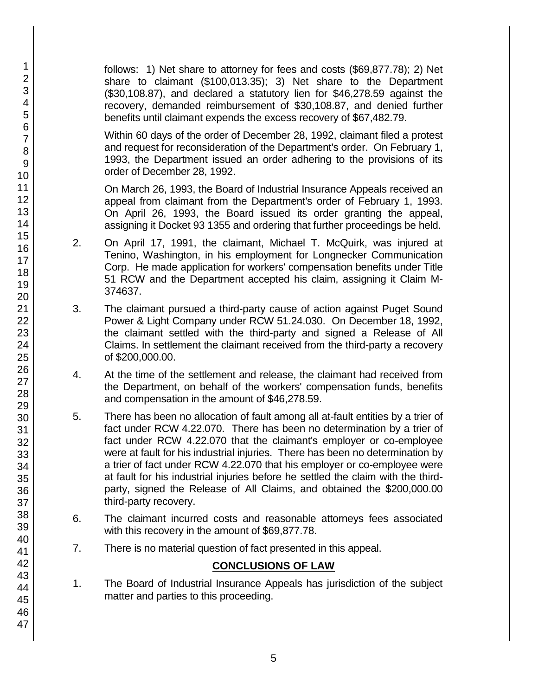follows: 1) Net share to attorney for fees and costs (\$69,877.78); 2) Net share to claimant (\$100,013.35); 3) Net share to the Department (\$30,108.87), and declared a statutory lien for \$46,278.59 against the recovery, demanded reimbursement of \$30,108.87, and denied further benefits until claimant expends the excess recovery of \$67,482.79.

Within 60 days of the order of December 28, 1992, claimant filed a protest and request for reconsideration of the Department's order. On February 1, 1993, the Department issued an order adhering to the provisions of its order of December 28, 1992.

On March 26, 1993, the Board of Industrial Insurance Appeals received an appeal from claimant from the Department's order of February 1, 1993. On April 26, 1993, the Board issued its order granting the appeal, assigning it Docket 93 1355 and ordering that further proceedings be held.

- 2. On April 17, 1991, the claimant, Michael T. McQuirk, was injured at Tenino, Washington, in his employment for Longnecker Communication Corp. He made application for workers' compensation benefits under Title 51 RCW and the Department accepted his claim, assigning it Claim M-374637.
- 3. The claimant pursued a third-party cause of action against Puget Sound Power & Light Company under RCW 51.24.030. On December 18, 1992, the claimant settled with the third-party and signed a Release of All Claims. In settlement the claimant received from the third-party a recovery of \$200,000.00.
- 4. At the time of the settlement and release, the claimant had received from the Department, on behalf of the workers' compensation funds, benefits and compensation in the amount of \$46,278.59.
- 5. There has been no allocation of fault among all at-fault entities by a trier of fact under RCW 4.22.070. There has been no determination by a trier of fact under RCW 4.22.070 that the claimant's employer or co-employee were at fault for his industrial injuries. There has been no determination by a trier of fact under RCW 4.22.070 that his employer or co-employee were at fault for his industrial injuries before he settled the claim with the thirdparty, signed the Release of All Claims, and obtained the \$200,000.00 third-party recovery.
- 6. The claimant incurred costs and reasonable attorneys fees associated with this recovery in the amount of \$69,877.78.
- 7. There is no material question of fact presented in this appeal.

# **CONCLUSIONS OF LAW**

1. The Board of Industrial Insurance Appeals has jurisdiction of the subject matter and parties to this proceeding.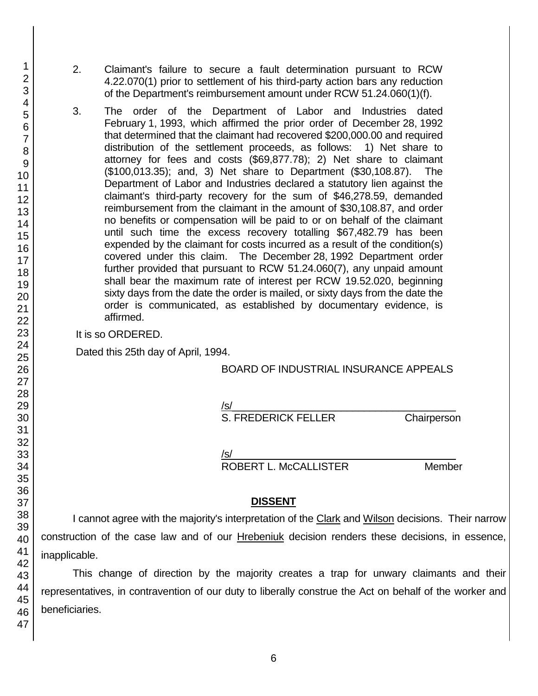- 2. Claimant's failure to secure a fault determination pursuant to RCW 4.22.070(1) prior to settlement of his third-party action bars any reduction of the Department's reimbursement amount under RCW 51.24.060(1)(f).
- 3. The order of the Department of Labor and Industries dated February 1, 1993, which affirmed the prior order of December 28, 1992 that determined that the claimant had recovered \$200,000.00 and required distribution of the settlement proceeds, as follows: 1) Net share to attorney for fees and costs (\$69,877.78); 2) Net share to claimant (\$100,013.35); and, 3) Net share to Department (\$30,108.87). The Department of Labor and Industries declared a statutory lien against the claimant's third-party recovery for the sum of \$46,278.59, demanded reimbursement from the claimant in the amount of \$30,108.87, and order no benefits or compensation will be paid to or on behalf of the claimant until such time the excess recovery totalling \$67,482.79 has been expended by the claimant for costs incurred as a result of the condition(s) covered under this claim. The December 28, 1992 Department order further provided that pursuant to RCW 51.24.060(7), any unpaid amount shall bear the maximum rate of interest per RCW 19.52.020, beginning sixty days from the date the order is mailed, or sixty days from the date the order is communicated, as established by documentary evidence, is affirmed.

It is so ORDERED.

Dated this 25th day of April, 1994.

### BOARD OF INDUSTRIAL INSURANCE APPEALS

/s/\_\_\_\_\_\_\_\_\_\_\_\_\_\_\_\_\_\_\_\_\_\_\_\_\_\_\_\_\_\_\_\_\_\_\_\_\_\_\_

S. FREDERICK FELLER Chairperson

/s/  $\,$ 

ROBERT L. McCALLISTER Member

### **DISSENT**

I cannot agree with the majority's interpretation of the Clark and Wilson decisions. Their narrow construction of the case law and of our Hrebeniuk decision renders these decisions, in essence, inapplicable.

This change of direction by the majority creates a trap for unwary claimants and their representatives, in contravention of our duty to liberally construe the Act on behalf of the worker and beneficiaries.

1 2